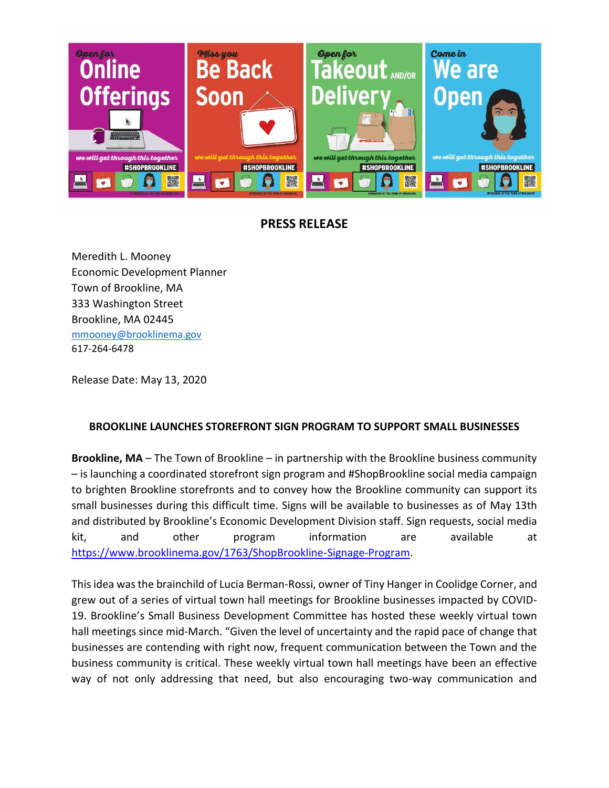

## **PRESS RELEASE**

Meredith L. Mooney Economic Development Planner Town of Brookline, MA 333 Washington Street Brookline, MA 02445 [mmooney@brooklinema.gov](mailto:mmooney@brooklinema.gov) 617-264-6478

Release Date: May 13, 2020

## **BROOKLINE LAUNCHES STOREFRONT SIGN PROGRAM TO SUPPORT SMALL BUSINESSES**

**Brookline, MA** – The Town of Brookline – in partnership with the Brookline business community – is launching a coordinated storefront sign program and #ShopBrookline social media campaign to brighten Brookline storefronts and to convey how the Brookline community can support its small businesses during this difficult time. Signs will be available to businesses as of May 13th and distributed by Brookline's Economic Development Division staff. Sign requests, social media kit, and other program information are available at [https://www.brooklinema.gov/1763/ShopBrookline-Signage-Program.](https://www.brooklinema.gov/1763/ShopBrookline-Signage-Program)

This idea was the brainchild of Lucia Berman-Rossi, owner of Tiny Hanger in Coolidge Corner, and grew out of a series of virtual town hall meetings for Brookline businesses impacted by COVID-19. Brookline's Small Business Development Committee has hosted these weekly virtual town hall meetings since mid-March. "Given the level of uncertainty and the rapid pace of change that businesses are contending with right now, frequent communication between the Town and the business community is critical. These weekly virtual town hall meetings have been an effective way of not only addressing that need, but also encouraging two-way communication and